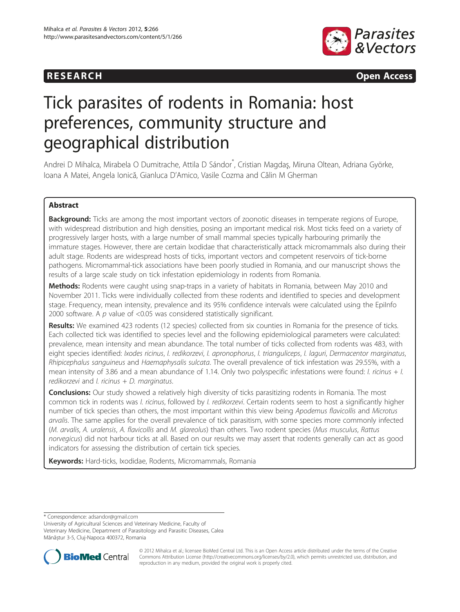



# Tick parasites of rodents in Romania: host preferences, community structure and geographical distribution

Andrei D Mihalca, Mirabela O Dumitrache, Attila D Sándor<sup>\*</sup>, Cristian Magdaş, Miruna Oltean, Adriana Györke, Ioana A Matei, Angela Ionică, Gianluca D'Amico, Vasile Cozma and Călin M Gherman

# Abstract

**Background:** Ticks are among the most important vectors of zoonotic diseases in temperate regions of Europe, with widespread distribution and high densities, posing an important medical risk. Most ticks feed on a variety of progressively larger hosts, with a large number of small mammal species typically harbouring primarily the immature stages. However, there are certain Ixodidae that characteristically attack micromammals also during their adult stage. Rodents are widespread hosts of ticks, important vectors and competent reservoirs of tick-borne pathogens. Micromammal-tick associations have been poorly studied in Romania, and our manuscript shows the results of a large scale study on tick infestation epidemiology in rodents from Romania.

Methods: Rodents were caught using snap-traps in a variety of habitats in Romania, between May 2010 and November 2011. Ticks were individually collected from these rodents and identified to species and development stage. Frequency, mean intensity, prevalence and its 95% confidence intervals were calculated using the Epilnfo 2000 software. A p value of <0.05 was considered statistically significant.

Results: We examined 423 rodents (12 species) collected from six counties in Romania for the presence of ticks. Each collected tick was identified to species level and the following epidemiological parameters were calculated: prevalence, mean intensity and mean abundance. The total number of ticks collected from rodents was 483, with eight species identified: *Ixodes ricinus, I. redikorzevi, I. apronophorus, I. trianguliceps, I. laguri, Dermacentor marginatus,* Rhipicephalus sanguineus and Haemaphysalis sulcata. The overall prevalence of tick infestation was 29.55%, with a mean intensity of 3.86 and a mean abundance of 1.14. Only two polyspecific infestations were found: *I. ricinus* + *I.* redikorzevi and *I. ricinus + D. marginatus.* 

**Conclusions:** Our study showed a relatively high diversity of ticks parasitizing rodents in Romania. The most common tick in rodents was *I. ricinus*, followed by *I. redikorzevi*. Certain rodents seem to host a significantly higher number of tick species than others, the most important within this view being Apodemus flavicollis and Microtus arvalis. The same applies for the overall prevalence of tick parasitism, with some species more commonly infected (M. arvalis, A. uralensis, A. flavicollis and M. glareolus) than others. Two rodent species (Mus musculus, Rattus norvegicus) did not harbour ticks at all. Based on our results we may assert that rodents generally can act as good indicators for assessing the distribution of certain tick species.

Keywords: Hard-ticks, Ixodidae, Rodents, Micromammals, Romania

\* Correspondence: [adsandor@gmail.com](mailto:adsandor@gmail.com)

University of Agricultural Sciences and Veterinary Medicine, Faculty of Veterinary Medicine, Department of Parasitology and Parasitic Diseases, Calea Mănăștur 3-5, Cluj-Napoca 400372, Romania



© 2012 Mihalca et al.; licensee BioMed Central Ltd. This is an Open Access article distributed under the terms of the Creative Commons Attribution License [\(http://creativecommons.org/licenses/by/2.0\)](http://creativecommons.org/licenses/by/2.0), which permits unrestricted use, distribution, and reproduction in any medium, provided the original work is properly cited.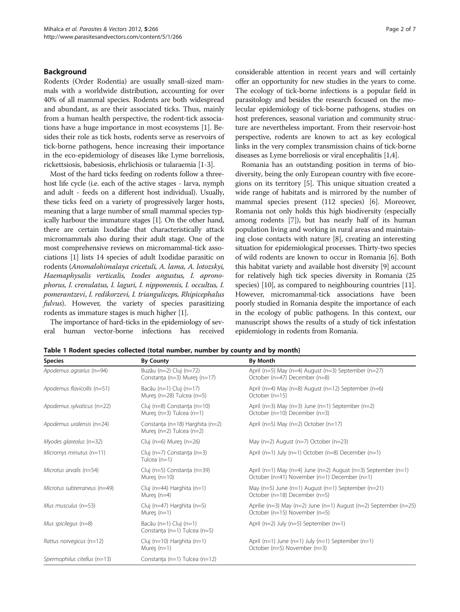# <span id="page-1-0"></span>Background

Rodents (Order Rodentia) are usually small-sized mammals with a worldwide distribution, accounting for over 40% of all mammal species. Rodents are both widespread and abundant, as are their associated ticks. Thus, mainly from a human health perspective, the rodent-tick associations have a huge importance in most ecosystems [[1\]](#page-5-0). Besides their role as tick hosts, rodents serve as reservoirs of tick-borne pathogens, hence increasing their importance in the eco-epidemiology of diseases like Lyme borreliosis, rickettsiosis, babesiosis, ehrlichiosis or tularaemia [[1-3\]](#page-5-0).

Most of the hard ticks feeding on rodents follow a threehost life cycle (i.e. each of the active stages - larva, nymph and adult - feeds on a different host individual). Usually, these ticks feed on a variety of progressively larger hosts, meaning that a large number of small mammal species typically harbour the immature stages [[1](#page-5-0)]. On the other hand, there are certain Ixodidae that characteristically attack micromammals also during their adult stage. One of the most comprehensive reviews on micromammal-tick associations [\[1](#page-5-0)] lists 14 species of adult Ixodidae parasitic on rodents (Anomalohimalaya cricetuli, A. lama, A. lotozskyi, Haemaphysalis verticalis, Ixodes angustus, I. apronophorus, I. crenulatus, I. laguri, I. nipponensis, I. occultus, I. pomerantzevi, I. redikorzevi, I. trianguliceps, Rhipicephalus fulvus). However, the variety of species parasitizing rodents as immature stages is much higher [[1\]](#page-5-0).

The importance of hard-ticks in the epidemiology of several human vector-borne infections has received considerable attention in recent years and will certainly offer an opportunity for new studies in the years to come. The ecology of tick-borne infections is a popular field in parasitology and besides the research focused on the molecular epidemiology of tick-borne pathogens, studies on host preferences, seasonal variation and community structure are nevertheless important. From their reservoir-host perspective, rodents are known to act as key ecological links in the very complex transmission chains of tick-borne diseases as Lyme borreliosis or viral encephalitis [\[1,4\]](#page-5-0).

Romania has an outstanding position in terms of biodiversity, being the only European country with five ecoregions on its territory [[5](#page-5-0)]. This unique situation created a wide range of habitats and is mirrored by the number of mammal species present (112 species) [\[6](#page-5-0)]. Moreover, Romania not only holds this high biodiversity (especially among rodents [\[7](#page-5-0)]), but has nearly half of its human population living and working in rural areas and maintaining close contacts with nature [\[8](#page-5-0)], creating an interesting situation for epidemiological processes. Thirty-two species of wild rodents are known to occur in Romania [\[6\]](#page-5-0). Both this habitat variety and available host diversity [\[9\]](#page-5-0) account for relatively high tick species diversity in Romania (25 species) [[10](#page-5-0)], as compared to neighbouring countries [[11](#page-5-0)]. However, micromammal-tick associations have been poorly studied in Romania despite the importance of each in the ecology of public pathogens. In this context, our manuscript shows the results of a study of tick infestation epidemiology in rodents from Romania.

| <b>Species</b>               | <b>By County</b>                                                    | <b>By Month</b>                                                                                               |  |
|------------------------------|---------------------------------------------------------------------|---------------------------------------------------------------------------------------------------------------|--|
| Apodemus agrarius (n=94)     | Buzău (n=2) Cluj (n=72)<br>Constanța (n=3) Mureș (n=17)             | April (n=5) May (n=4) August (n=3) September (n=27)<br>October (n=47) December (n=8)                          |  |
| Apodemus flavicollis (n=51)  | Bacău (n=1) Cluj (n=17)<br>Mureș (n=28) Tulcea (n=5)                | April (n=4) May (n=8) August (n=12) September (n=6)<br>October (n=15)                                         |  |
| Apodemus sylvaticus (n=22)   | Cluj (n=8) Constanța (n=10)<br>Mures ( $n=3$ ) Tulcea ( $n=1$ )     | April ( $n=3$ ) May ( $n=3$ ) June ( $n=1$ ) September ( $n=2$ )<br>October (n=10) December (n=3)             |  |
| Apodemus uralensis (n=24)    | Constanța (n=18) Harghita (n=2)<br>Mures ( $n=2$ ) Tulcea ( $n=2$ ) | April ( $n=5$ ) May ( $n=2$ ) October ( $n=17$ )                                                              |  |
| Myodes glareolus (n=32)      | Cluj ( $n=6$ ) Mures ( $n=26$ )                                     | May ( $n=2$ ) August ( $n=7$ ) October ( $n=23$ )                                                             |  |
| Micromys minutus $(n=11)$    | Cluj (n=7) Constanta (n=3)<br>Tulcea $(n=1)$                        | April ( $n=1$ ) July ( $n=1$ ) October ( $n=8$ ) December ( $n=1$ )                                           |  |
| Microtus arvalis (n=54)      | Cluj (n=5) Constanța (n=39)<br>Mures $(n=10)$                       | April (n=1) May (n=4) June (n=2) August (n=3) September (n=1)<br>October (n=41) November (n=1) December (n=1) |  |
| Microtus subterraneus (n=49) | Cluj (n=44) Harghita (n=1)<br>Mures $(n=4)$                         | May ( $n=5$ ) June ( $n=1$ ) August ( $n=1$ ) September ( $n=21$ )<br>October (n=18) December (n=5)           |  |
| Mus musculus $(n=53)$        | Cluj (n=47) Harghita (n=5)<br>Mures $(n=1)$                         | Aprilie (n=3) May (n=2) June (n=1) August (n=2) September (n=25)<br>October (n=15) November (n=5)             |  |
| Mus spicilegus $(n=8)$       | Bacău (n=1) Cluj (n=1)<br>Constanța (n=1) Tulcea (n=5)              | April ( $n=2$ ) July ( $n=5$ ) September ( $n=1$ )                                                            |  |
| Rattus norvegicus (n=12)     | Cluj (n=10) Harghita (n=1)<br>Mures $(n=1)$                         | April ( $n=1$ ) June ( $n=1$ ) July ( $n=1$ ) September ( $n=1$ )<br>October (n=5) November (n=3)             |  |
| Spermophilus citellus (n=13) | Constanta (n=1) Tulcea (n=12)                                       |                                                                                                               |  |

Table 1 Rodent species collected (total number, number by county and by month)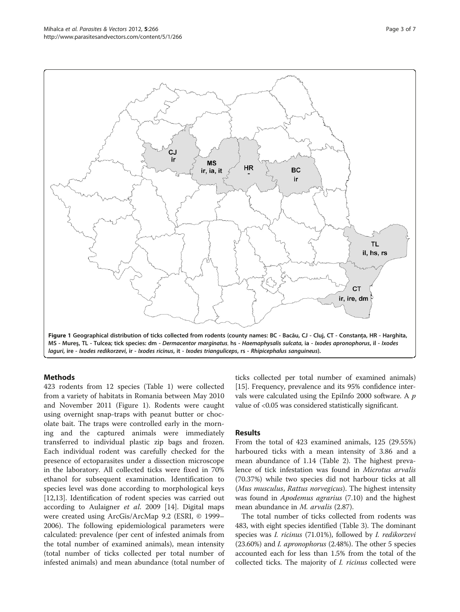<span id="page-2-0"></span>

## Methods

423 rodents from 12 species (Table [1](#page-1-0)) were collected from a variety of habitats in Romania between May 2010 and November 2011 (Figure 1). Rodents were caught using overnight snap-traps with peanut butter or chocolate bait. The traps were controlled early in the morning and the captured animals were immediately transferred to individual plastic zip bags and frozen. Each individual rodent was carefully checked for the presence of ectoparasites under a dissection microscope in the laboratory. All collected ticks were fixed in 70% ethanol for subsequent examination. Identification to species level was done according to morphological keys [[12,13\]](#page-5-0). Identification of rodent species was carried out according to Aulaigner et al. 2009 [\[14](#page-5-0)]. Digital maps were created using ArcGis/ArcMap 9.2 (ESRI, © 1999– 2006). The following epidemiological parameters were calculated: prevalence (per cent of infested animals from the total number of examined animals), mean intensity (total number of ticks collected per total number of infested animals) and mean abundance (total number of ticks collected per total number of examined animals) [[15](#page-5-0)]. Frequency, prevalence and its 95% confidence intervals were calculated using the EpiInfo 2000 software. A p value of <0.05 was considered statistically significant.

# Results

From the total of 423 examined animals, 125 (29.55%) harboured ticks with a mean intensity of 3.86 and a mean abundance of 1.14 (Table [2\)](#page-3-0). The highest prevalence of tick infestation was found in Microtus arvalis (70.37%) while two species did not harbour ticks at all (Mus musculus, Rattus norvegicus). The highest intensity was found in Apodemus agrarius (7.10) and the highest mean abundance in *M. arvalis* (2.87).

The total number of ticks collected from rodents was 483, with eight species identified (Table [3](#page-3-0)). The dominant species was I. ricinus (71.01%), followed by I. redikorzevi (23.60%) and I. apronophorus (2.48%). The other 5 species accounted each for less than 1.5% from the total of the collected ticks. The majority of I. ricinus collected were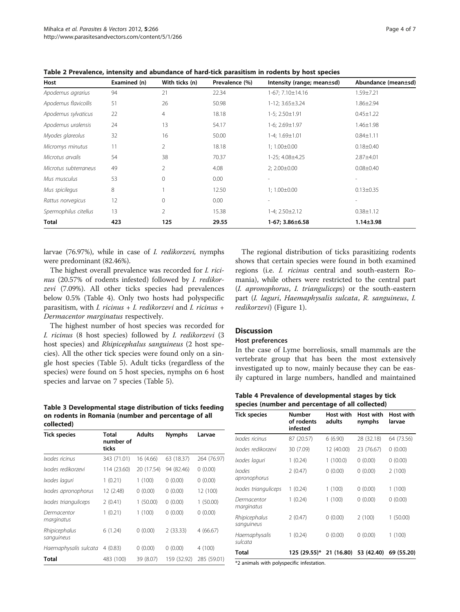| Host                  | Examined (n) | With ticks (n) | Prevalence (%) | Intensity (range; mean±sd) | Abundance (mean±sd) |
|-----------------------|--------------|----------------|----------------|----------------------------|---------------------|
| Apodemus agrarius     | 94           | 21             | 22.34          | 1-67; 7.10±14.16           | $1.59 \pm 7.21$     |
| Apodemus flavicollis  | 51           | 26             | 50.98          | $1-12$ ; $3.65\pm3.24$     | $1.86 \pm 2.94$     |
| Apodemus sylvaticus   | 22           | 4              | 18.18          | $1-5$ ; $2.50 \pm 1.91$    | $0.45 \pm 1.22$     |
| Apodemus uralensis    | 24           | 13             | 54.17          | $1-6$ ; $2.69 \pm 1.97$    | $1.46 \pm 1.98$     |
| Myodes glareolus      | 32           | 16             | 50.00          | $1-4; 1.69 \pm 1.01$       | $0.84 \pm 1.11$     |
| Micromys minutus      | 11           | 2              | 18.18          | $1; 1.00 \pm 0.00$         | $0.18 \pm 0.40$     |
| Microtus arvalis      | 54           | 38             | 70.37          | 1-25; 4.08±4.25            | $2.87 + 4.01$       |
| Microtus subterraneus | 49           | 2              | 4.08           | $2; 2.00 \pm 0.00$         | $0.08 \pm 0.40$     |
| Mus musculus          | 53           | $\mathbf{0}$   | 0.00           | ۰                          |                     |
| Mus spicilegus        | 8            |                | 12.50          | $1; 1.00 \pm 0.00$         | $0.13 \pm 0.35$     |
| Rattus norvegicus     | 12           | 0              | 0.00           |                            |                     |
| Spermophilus citellus | 13           | $\overline{2}$ | 15.38          | $1-4$ ; $2.50\pm2.12$      | $0.38 \pm 1.12$     |
| Total                 | 423          | 125            | 29.55          | $1-67; 3.86 \pm 6.58$      | $1.14 \pm 3.98$     |

<span id="page-3-0"></span>Table 2 Prevalence, intensity and abundance of hard-tick parasitism in rodents by host species

larvae (76.97%), while in case of I. redikorzevi, nymphs were predominant (82.46%).

The highest overall prevalence was recorded for I. ricinus (20.57% of rodents infested) followed by I. redikorzevi (7.09%). All other ticks species had prevalences below 0.5% (Table 4). Only two hosts had polyspecific parasitism, with I. ricinus + I. redikorzevi and I. ricinus + Dermacentor marginatus respectively.

The highest number of host species was recorded for I. ricinus (8 host species) followed by I. redikorzevi (3 host species) and *Rhipicephalus sanguineus* (2 host species). All the other tick species were found only on a single host species (Table [5\)](#page-4-0). Adult ticks (regardless of the species) were found on 5 host species, nymphs on 6 host species and larvae on 7 species (Table [5\)](#page-4-0).

Table 3 Developmental stage distribution of ticks feeding on rodents in Romania (number and percentage of all collected)

| <b>Tick species</b>         | Total<br>number of<br>ticks | <b>Adults</b> | <b>Nymphs</b> | Larvae      |
|-----------------------------|-----------------------------|---------------|---------------|-------------|
| Ixodes ricinus              | 343 (71.01)                 | 16 (4.66)     | 63 (18.37)    | 264 (76.97) |
| Ixodes redikorzevi          | 114 (23.60)                 | 20 (17.54)    | 94 (82.46)    | 0(0.00)     |
| Ixodes laguri               | 1(0.21)                     | 1(100)        | 0(0.00)       | 0(0.00)     |
| Ixodes apronophorus         | 12 (2.48)                   | 0(0.00)       | 0(0.00)       | 12 (100)    |
| Ixodes trianguliceps        | 2(0.41)                     | 1(50.00)      | 0(0.00)       | 1 (50.00)   |
| Dermacentor<br>marginatus   | 1(0.21)                     | 1(100)        | 0(0.00)       | 0(0.00)     |
| Rhipicephalus<br>sanguineus | 6(1.24)                     | 0(0.00)       | 2(33.33)      | 4(66.67)    |
| Haemaphysalis sulcata       | 4(0.83)                     | 0(0.00)       | 0(0.00)       | 4(100)      |
| Total                       | 483 (100)                   | 39 (8.07)     | 159 (32.92)   | 285 (59.01) |

The regional distribution of ticks parasitizing rodents shows that certain species were found in both examined regions (i.e. I. ricinus central and south-eastern Romania), while others were restricted to the central part (I. apronophorus, I. trianguliceps) or the south-eastern part (I. laguri, Haemaphysalis sulcata, R. sanguineus, I. redikorzevi) (Figure [1\)](#page-2-0).

# **Discussion**

## Host preferences

In the case of Lyme borreliosis, small mammals are the vertebrate group that has been the most extensively investigated up to now, mainly because they can be easily captured in large numbers, handled and maintained

Table 4 Prevalence of developmental stages by tick species (number and percentage of all collected)

| <b>Tick species</b>         | Number<br>of rodents<br>infested | Host with<br>adults | Host with<br>nymphs | Host with<br>larvae |
|-----------------------------|----------------------------------|---------------------|---------------------|---------------------|
| Ixodes ricinus              | 87 (20.57)                       | 6(6.90)             | 28 (32.18)          | 64 (73.56)          |
| Ixodes redikorzevi          | 30 (7.09)                        | 12 (40.00)          | 23 (76.67)          | 0(0.00)             |
| Ixodes laquri               | 1(0.24)                          | 1(100.0)            | 0(0.00)             | 0(0.00)             |
| Ixodes<br>apronophorus      | 2(0.47)                          | 0(0.00)             | 0(0.00)             | 2(100)              |
| Ixodes trianguliceps        | 1(0.24)                          | 1(100)              | 0(0.00)             | 1(100)              |
| Dermacentor<br>marginatus   | 1(0.24)                          | 1(100)              | 0(0.00)             | 0(0.00)             |
| Rhipicephalus<br>sanguineus | 2(0.47)                          | 0(0.00)             | 2(100)              | 1(50.00)            |
| Haemaphysalis<br>sulcata    | 1(0.24)                          | 0(0.00)             | 0(0.00)             | 1(100)              |
| Total                       | 125 (29.55)*                     | 21 (16.80)          | 53 (42.40)          | 69 (55.20)          |

\*2 animals with polyspecific infestation.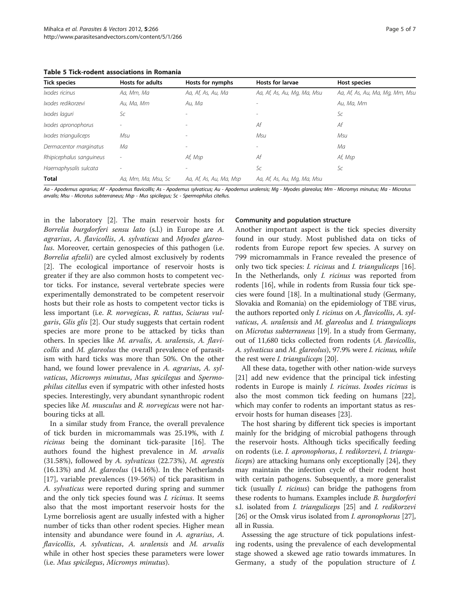<span id="page-4-0"></span>Table 5 Tick-rodent associations in Romania

| <b>Tick species</b>      | <b>Hosts for adults</b> | Hosts for nymphs         | <b>Hosts for larvae</b>     | Host species                    |
|--------------------------|-------------------------|--------------------------|-----------------------------|---------------------------------|
| Ixodes ricinus           | Aa, Mm, Ma              | Aa, Af, As, Au, Ma       | Aa, Af, As, Au, Mg, Ma, Msu | Aa, Af, As, Au, Ma, Mg, Mm, Msu |
| Ixodes redikorzevi       | Au. Ma. Mm              | Au. Ma                   |                             | Au, Ma, Mm                      |
| Ixodes laguri            | Sc                      |                          |                             | Sc                              |
| Ixodes apronophorus      |                         | ۰                        | Аf                          | Af                              |
| Ixodes trianguliceps     | Msu                     | $\overline{\phantom{a}}$ | Msu                         | Msu                             |
| Dermacentor marginatus   | Мa                      |                          |                             | Мa                              |
| Rhipicephalus sanguineus |                         | Af, Msp                  | Аf                          | Af, Msp                         |
| Haemaphysalis sulcata    |                         |                          | Sc                          | Sc                              |
| <b>Total</b>             | Aa, Mm, Ma, Msu, Sc     | Aa, Af, As, Au, Ma, Msp  | Aa, Af, As, Au, Mg, Ma, Msu |                                 |

Aa - Apodemus agrarius; Af - Apodemus flavicollis; As - Apodemus sylvaticus; Au - Apodemus uralensis; Mg - Myodes glareolus; Mm - Micromys minutus; Ma - Microtus arvalis; Msu - Microtus subterraneus; Msp - Mus spicilegus; Sc - Spermophilus citellus.

in the laboratory [[2\]](#page-5-0). The main reservoir hosts for Borrelia burgdorferi sensu lato (s.l.) in Europe are A. agrarius, A. flavicollis, A. sylvaticus and Myodes glareolus. Moreover, certain genospecies of this pathogen (i.e. Borrelia afzelii) are cycled almost exclusively by rodents [[2\]](#page-5-0). The ecological importance of reservoir hosts is greater if they are also common hosts to competent vector ticks. For instance, several vertebrate species were experimentally demonstrated to be competent reservoir hosts but their role as hosts to competent vector ticks is less important (i.e. R. norvegicus, R. rattus, Sciurus vulgaris, Glis glis [\[2](#page-5-0)]. Our study suggests that certain rodent species are more prone to be attacked by ticks than others. In species like M. arvalis, A. uralensis, A. flavicollis and M. glareolus the overall prevalence of parasitism with hard ticks was more than 50%. On the other hand, we found lower prevalence in A. agrarius, A. sylvaticus, Micromys minutus, Mus spicilegus and Spermophilus citellus even if sympatric with other infested hosts species. Interestingly, very abundant synanthropic rodent species like *M. musculus* and *R. norvegicus* were not harbouring ticks at all.

In a similar study from France, the overall prevalence of tick burden in micromammals was 25.19%, with I. ricinus being the dominant tick-parasite [\[16](#page-5-0)]. The authors found the highest prevalence in M. arvalis (31.58%), followed by A. sylvaticus (22.73%), M. agrestis  $(16.13%)$  and *M. glareolus*  $(14.16%)$ . In the Netherlands [[17\]](#page-5-0), variable prevalences (19-56%) of tick parasitism in A. sylvaticus were reported during spring and summer and the only tick species found was *I. ricinus*. It seems also that the most important reservoir hosts for the Lyme borreliosis agent are usually infested with a higher number of ticks than other rodent species. Higher mean intensity and abundance were found in A. agrarius, A. flavicollis, A. sylvaticus, A. uralensis and M. arvalis while in other host species these parameters were lower (i.e. Mus spicilegus, Micromys minutus).

# Community and population structure

Another important aspect is the tick species diversity found in our study. Most published data on ticks of rodents from Europe report few species. A survey on 799 micromammals in France revealed the presence of only two tick species: *I. ricinus* and *I. trianguliceps* [\[16](#page-5-0)]. In the Netherlands, only *I. ricinus* was reported from rodents [[16](#page-5-0)], while in rodents from Russia four tick species were found [[18](#page-5-0)]. In a multinational study (Germany, Slovakia and Romania) on the epidemiology of TBE virus, the authors reported only I. ricinus on A. flavicollis, A. sylvaticus, A. uralensis and M. glareolus and I. trianguliceps on Microtus subterraneus [\[19\]](#page-5-0). In a study from Germany, out of 11,680 ticks collected from rodents (A. flavicollis, A. sylvaticus and M. glareolus), 97.9% were I. ricinus, while the rest were I. trianguliceps [\[20\]](#page-5-0).

All these data, together with other nation-wide surveys [[21\]](#page-5-0) add new evidence that the principal tick infesting rodents in Europe is mainly I. ricinus. Ixodes ricinus is also the most common tick feeding on humans [\[22](#page-6-0)], which may confer to rodents an important status as reservoir hosts for human diseases [[23\]](#page-6-0).

The host sharing by different tick species is important mainly for the bridging of microbial pathogens through the reservoir hosts. Although ticks specifically feeding on rodents (i.e. I. apronophorus, I. redikorzevi, I. trianguliceps) are attacking humans only exceptionally [\[24](#page-6-0)], they may maintain the infection cycle of their rodent host with certain pathogens. Subsequently, a more generalist tick (usually I. ricinus) can bridge the pathogens from these rodents to humans. Examples include B. burgdorferi s.l. isolated from *I. trianguliceps* [\[25\]](#page-6-0) and *I. redikorzevi* [[26](#page-6-0)] or the Omsk virus isolated from *I. apronophorus* [[27](#page-6-0)], all in Russia.

Assessing the age structure of tick populations infesting rodents, using the prevalence of each developmental stage showed a skewed age ratio towards immatures. In Germany, a study of the population structure of I.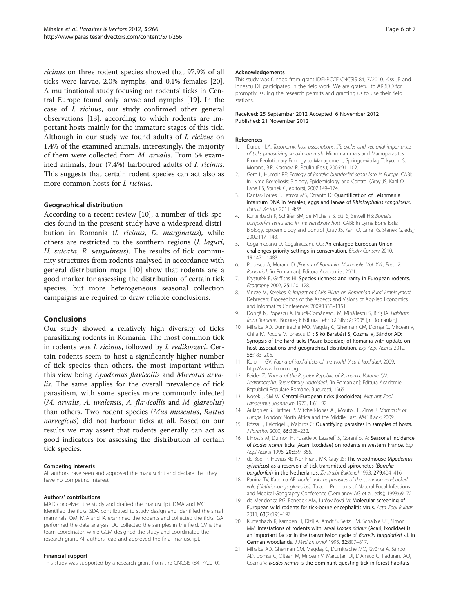<span id="page-5-0"></span>ricinus on three rodent species showed that 97.9% of all ticks were larvae, 2.0% nymphs, and 0.1% females [20]. A multinational study focusing on rodents' ticks in Central Europe found only larvae and nymphs [19]. In the case of I. ricinus, our study confirmed other general observations [13], according to which rodents are important hosts mainly for the immature stages of this tick. Although in our study we found adults of I. ricinus on 1.4% of the examined animals, interestingly, the majority of them were collected from M. arvalis. From 54 examined animals, four (7.4%) harboured adults of I. ricinus. This suggests that certain rodent species can act also as more common hosts for I. ricinus.

## Geographical distribution

According to a recent review [10], a number of tick species found in the present study have a widespread distribution in Romania (*I. ricinus*, *D. marginatus*), while others are restricted to the southern regions (I. laguri, H. sulcata, R. sanguineus). The results of tick community structures from rodents analysed in accordance with general distribution maps [10] show that rodents are a good marker for assessing the distribution of certain tick species, but more heterogeneous seasonal collection campaigns are required to draw reliable conclusions.

## Conclusions

Our study showed a relatively high diversity of ticks parasitizing rodents in Romania. The most common tick in rodents was I. ricinus, followed by I. redikorzevi. Certain rodents seem to host a significantly higher number of tick species than others, the most important within this view being Apodemus flavicollis and Microtus arvalis. The same applies for the overall prevalence of tick parasitism, with some species more commonly infected (M. arvalis, A. uralensis, A. flavicollis and M. glareolus) than others. Two rodent species (Mus musculus, Rattus norvegicus) did not harbour ticks at all. Based on our results we may assert that rodents generally can act as good indicators for assessing the distribution of certain tick species.

#### Competing interests

All authors have seen and approved the manuscript and declare that they have no competing interest.

#### Authors' contributions

MAD conceived the study and drafted the manuscript. DMA and MC identified the ticks. SDA contributed to study design and identified the small mammals. OM, MIA and IA examined the rodents and collected the ticks. GA performed the data analysis. DG collected the samples in the field. CV is the team coordinator, while GCM designed the study and coordinated the research grant. All authors read and approved the final manuscript.

#### Financial support

This study was supported by a research grant from the CNCSIS (84, 7/2010).

#### Acknowledgements

This study was funded from grant IDEI-PCCE CNCSIS 84, 7/2010. Kiss JB and Ionescu DT participated in the field work. We are grateful to ARBDD for promptly issuing the research permits and granting us to use their field stations.

#### Received: 25 September 2012 Accepted: 6 November 2012 Published: 21 November 2012

#### References

- Durden LA: Taxonomy, host associations, life cycles and vectorial importance of ticks parasitizing small mammals. Micromammals and Macroparasites From Evolutionary Ecology to Management, Springer-Verlag Tokyo: In S. Morand, B.R. Krasnov, R. Poulin (Eds.); 2006:91–102.
- 2. Gern L, Humair PF: Ecology of Borrelia burgdorferi sensu lato in Europe. CABI: In Lyme Borreliosis: Biology, Epidemiology and Control (Gray JS, Kahl O, Lane RS, Stanek G, editors); 2002:149–174.
- 3. Dantas-Torres F, Latrofa MS, Otranto D: Quantification of Leishmania infantum DNA in females, eggs and larvae of Rhipicephalus sanguineus. Parasit Vectors 2011, 4:56.
- 4. Kurtenbach K, Schäfer SM, de Michelis S, Etti S, Sewell HS: Borrelia burgdorferi sensu lato in the vertebrate host. CABI: In Lyme Borreliosis: Biology, Epidemiology and Control (Gray JS, Kahl O, Lane RS, Stanek G, eds); 2002:117–148.
- 5. Cogălniceanu D, Cogălniceanu CG: An enlarged European Union challenges priority settings in conservation. Biodiv Conserv 2010, 19:1471–1483.
- 6. Popescu A, Murariu D: [Fauna of Romania: Mammalia Vol. XVI., Fasc. 2: Rodentia]. [in Romanian]: Editura Academiei; 2001.
- 7. Krystufek B, Griffiths HI: Species richness and rarity in European rodents. Ecography 2002, 25:120–128.
- 8. Vincze M, Kerekes K: Impact of CAP's Pillars on Romanian Rural Employment. Debrecen: Proceedings of the Aspects and Visions of Applied Economics and Informatics Conference; 2009:1338–1351.
- 9. Doniță N, Popescu A, Paucă-Comănescu M, Mihăilescu S, Biriș IA: Habitats from Romania. Bucureşti: Editura Tehnică Silvică; 2005 [in Romanian].
- 10. Mihalca AD, Dumitrache MO, Magdaş C, Gherman CM, Domşa C, Mircean V, Ghira IV, Pocora V, Ionescu DT: Sikó Barabási S, Cozma V, Sándor AD: Synopsis of the hard-ticks (Acari: Ixodidae) of Romania with update on host associations and geographical distribution. Exp Appl Acarol 2012, 58:183–206.
- 11. Kolonin GV: Fauna of ixodid ticks of the world (Acari, Ixodidae); 2009. <http://www.kolonin.org>.
- 12. Feider Z: [Fauna of the Popular Republic of Romania. Volume 5/2. Acaromorpha, Suprafamily Ixodoidea]. [in Romanian]: Editura Academiei Republicii Populare Române, Bucuresti; 1965.
- 13. Nosek J, Sixl W: Central-European ticks (Ixodoidea). Mitt Abt Zool Landesmus Joanneum 1972, 1:61–92.
- 14. Aulagnier S, Haffner P, Mitchell-Jones AJ, Moutou F, Zima J: Mammals of Europe. London: North Africa and the Middle East. A&C Black; 2009.
- 15. Rózsa L, Reiczigel J, Majoros G: Quantifying parasites in samples of hosts. J Parasitol 2000, 86:228–232.
- 16. L'Hostis M, Dumon H, Fusade A, Lazareff S, Gorenflot A: Seasonal incidence of Ixodes ricinus ticks (Acari: Ixodidae) on rodents in western France. Exp Appl Acarol 1996, 20:359-356.
- 17. de Boer R, Hovius KE, Nohlmans MK, Gray JS: The woodmouse (Apodemus sylvaticus) as a reservoir of tick-transmitted spirochetes (Borrelia burgdorferi) in the Netherlands. Zentralbl Bakteriol 1993, 279:404–416.
- 18. Panina TV, Katelina AF: Ixodid ticks as parasites of the common red-backed vole (Clethrionomys glareolus). Tula: In Problems of Natural Focal Infections and Medical Geography Conference (Demianov AG et al. eds.); 1993:69–72.
- 19. de Mendonça PG, Benedek AM, Jurčovičová M: Molecular screening of European wild rodents for tick-borne encephalitis virus. Acta Zool Bulgar 2011, 63(2):195–197.
- 20. Kurtenbach K, Kampen H, Dizij A, Arndt S, Seitz HM, Schaible UE, Simon MM: Infestations of rodents with larval Ixodes ricinus (Acari, Ixodidae) is an important factor in the transmission cycle of Borrelia burgdorferi s.l. in German woodlands. J Med Entomol 1995, 32:807-817.
- 21. Mihalca AD, Gherman CM, Magdaş C, Dumitrache MO, Györke A, Sándor AD, Domşa C, Oltean M, Mircean V, Mărcuţan DI, D'Amico G, Păduraru AO, Cozma V: Ixodes ricinus is the dominant questing tick in forest habitats